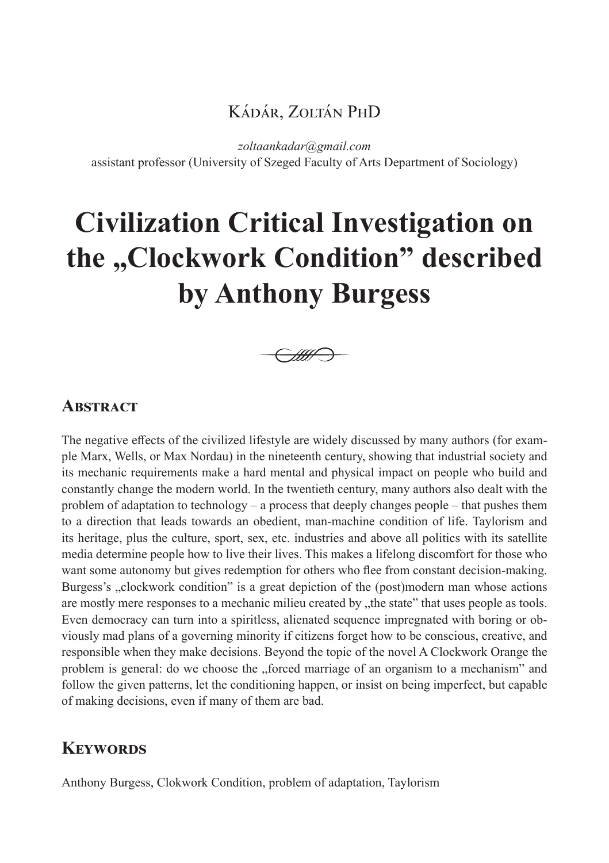## Kádár, Zoltán PhD

*zoltaankadar@gmail.com*

assistant professor (University of Szeged Faculty of Arts Department of Sociology)

# **Civilization Critical Investigation on the "Clockwork Condition" described by Anthony Burgess**



#### **ABSTRACT**

The negative effects of the civilized lifestyle are widely discussed by many authors (for example Marx, Wells, or Max Nordau) in the nineteenth century, showing that industrial society and its mechanic requirements make a hard mental and physical impact on people who build and constantly change the modern world. In the twentieth century, many authors also dealt with the problem of adaptation to technology – a process that deeply changes people – that pushes them to a direction that leads towards an obedient, man-machine condition of life. Taylorism and its heritage, plus the culture, sport, sex, etc. industries and above all politics with its satellite media determine people how to live their lives. This makes a lifelong discomfort for those who want some autonomy but gives redemption for others who flee from constant decision-making. Burgess's ,, clockwork condition" is a great depiction of the (post)modern man whose actions are mostly mere responses to a mechanic milieu created by  $x$ , the state" that uses people as tools. Even democracy can turn into a spiritless, alienated sequence impregnated with boring or obviously mad plans of a governing minority if citizens forget how to be conscious, creative, and responsible when they make decisions. Beyond the topic of the novel A Clockwork Orange the problem is general: do we choose the "forced marriage of an organism to a mechanism" and follow the given patterns, let the conditioning happen, or insist on being imperfect, but capable of making decisions, even if many of them are bad.

## **Keywords**

Anthony Burgess, Clokwork Condition, problem of adaptation, Taylorism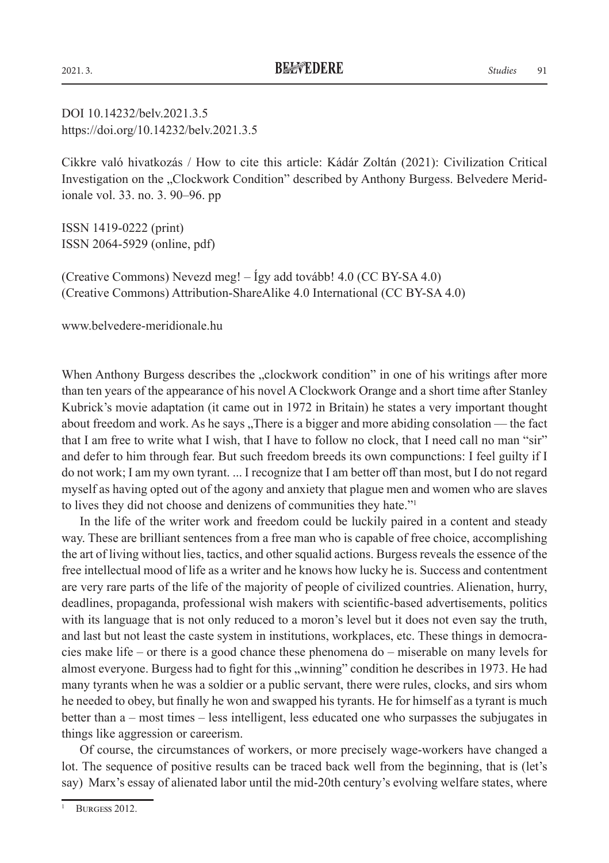DOI 10.14232/belv.2021.3.5 https://doi.org/10.14232/belv.2021.3.5

Cikkre való hivatkozás / How to cite this article: Kádár Zoltán (2021): Civilization Critical Investigation on the "Clockwork Condition" described by Anthony Burgess. Belvedere Meridionale vol. 33. no. 3. 90–96. pp

ISSN 1419-0222 (print) ISSN 2064-5929 (online, pdf)

(Creative Commons) Nevezd meg! – Így add tovább! 4.0 (CC BY-SA 4.0) (Creative Commons) Attribution-ShareAlike 4.0 International (CC BY-SA 4.0)

www.belvedere-meridionale.hu

When Anthony Burgess describes the "clockwork condition" in one of his writings after more than ten years of the appearance of his novel A Clockwork Orange and a short time after Stanley Kubrick's movie adaptation (it came out in 1972 in Britain) he states a very important thought about freedom and work. As he says "There is a bigger and more abiding consolation — the fact that I am free to write what I wish, that I have to follow no clock, that I need call no man "sir" and defer to him through fear. But such freedom breeds its own compunctions: I feel guilty if I do not work; I am my own tyrant. ... I recognize that I am better off than most, but I do not regard myself as having opted out of the agony and anxiety that plague men and women who are slaves to lives they did not choose and denizens of communities they hate."1

In the life of the writer work and freedom could be luckily paired in a content and steady way. These are brilliant sentences from a free man who is capable of free choice, accomplishing the art of living without lies, tactics, and other squalid actions. Burgess reveals the essence of the free intellectual mood of life as a writer and he knows how lucky he is. Success and contentment are very rare parts of the life of the majority of people of civilized countries. Alienation, hurry, deadlines, propaganda, professional wish makers with scientific-based advertisements, politics with its language that is not only reduced to a moron's level but it does not even say the truth, and last but not least the caste system in institutions, workplaces, etc. These things in democracies make life – or there is a good chance these phenomena do – miserable on many levels for almost everyone. Burgess had to fight for this "winning" condition he describes in 1973. He had many tyrants when he was a soldier or a public servant, there were rules, clocks, and sirs whom he needed to obey, but finally he won and swapped his tyrants. He for himself as a tyrant is much better than a – most times – less intelligent, less educated one who surpasses the subjugates in things like aggression or careerism.

Of course, the circumstances of workers, or more precisely wage-workers have changed a lot. The sequence of positive results can be traced back well from the beginning, that is (let's say) Marx's essay of alienated labor until the mid-20th century's evolving welfare states, where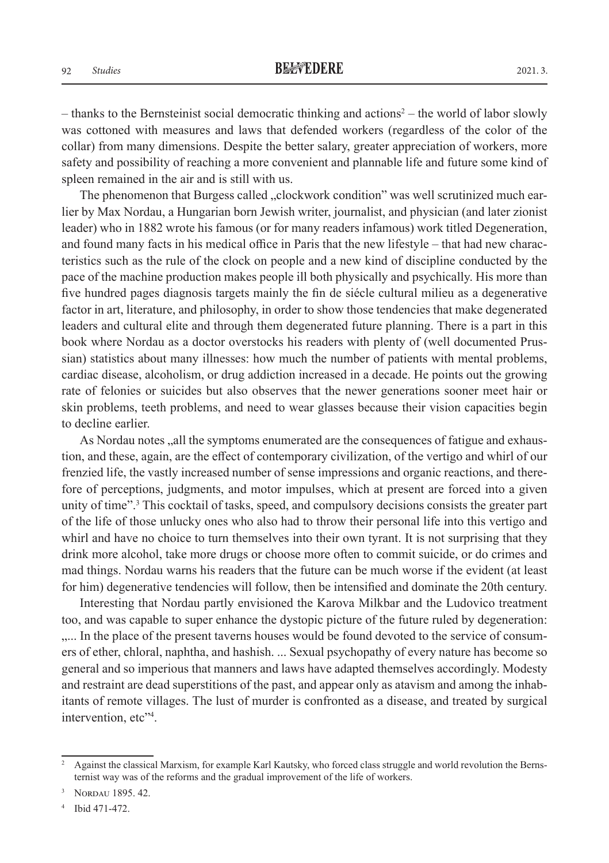– thanks to the Bernsteinist social democratic thinking and actions<sup>2</sup> – the world of labor slowly was cottoned with measures and laws that defended workers (regardless of the color of the collar) from many dimensions. Despite the better salary, greater appreciation of workers, more safety and possibility of reaching a more convenient and plannable life and future some kind of spleen remained in the air and is still with us.

The phenomenon that Burgess called "clockwork condition" was well scrutinized much earlier by Max Nordau, a Hungarian born Jewish writer, journalist, and physician (and later zionist leader) who in 1882 wrote his famous (or for many readers infamous) work titled Degeneration, and found many facts in his medical office in Paris that the new lifestyle – that had new characteristics such as the rule of the clock on people and a new kind of discipline conducted by the pace of the machine production makes people ill both physically and psychically. His more than five hundred pages diagnosis targets mainly the fin de siécle cultural milieu as a degenerative factor in art, literature, and philosophy, in order to show those tendencies that make degenerated leaders and cultural elite and through them degenerated future planning. There is a part in this book where Nordau as a doctor overstocks his readers with plenty of (well documented Prussian) statistics about many illnesses: how much the number of patients with mental problems, cardiac disease, alcoholism, or drug addiction increased in a decade. He points out the growing rate of felonies or suicides but also observes that the newer generations sooner meet hair or skin problems, teeth problems, and need to wear glasses because their vision capacities begin to decline earlier.

As Nordau notes ,,all the symptoms enumerated are the consequences of fatigue and exhaustion, and these, again, are the effect of contemporary civilization, of the vertigo and whirl of our frenzied life, the vastly increased number of sense impressions and organic reactions, and therefore of perceptions, judgments, and motor impulses, which at present are forced into a given unity of time".<sup>3</sup> This cocktail of tasks, speed, and compulsory decisions consists the greater part of the life of those unlucky ones who also had to throw their personal life into this vertigo and whirl and have no choice to turn themselves into their own tyrant. It is not surprising that they drink more alcohol, take more drugs or choose more often to commit suicide, or do crimes and mad things. Nordau warns his readers that the future can be much worse if the evident (at least for him) degenerative tendencies will follow, then be intensified and dominate the 20th century.

Interesting that Nordau partly envisioned the Karova Milkbar and the Ludovico treatment too, and was capable to super enhance the dystopic picture of the future ruled by degeneration: ..... In the place of the present taverns houses would be found devoted to the service of consumers of ether, chloral, naphtha, and hashish. ... Sexual psychopathy of every nature has become so general and so imperious that manners and laws have adapted themselves accordingly. Modesty and restraint are dead superstitions of the past, and appear only as atavism and among the inhabitants of remote villages. The lust of murder is confronted as a disease, and treated by surgical intervention, etc"4 .

<sup>&</sup>lt;sup>2</sup> Against the classical Marxism, for example Karl Kautsky, who forced class struggle and world revolution the Bernsternist way was of the reforms and the gradual improvement of the life of workers.

NORDAU 1895. 42.

Ibid 471-472.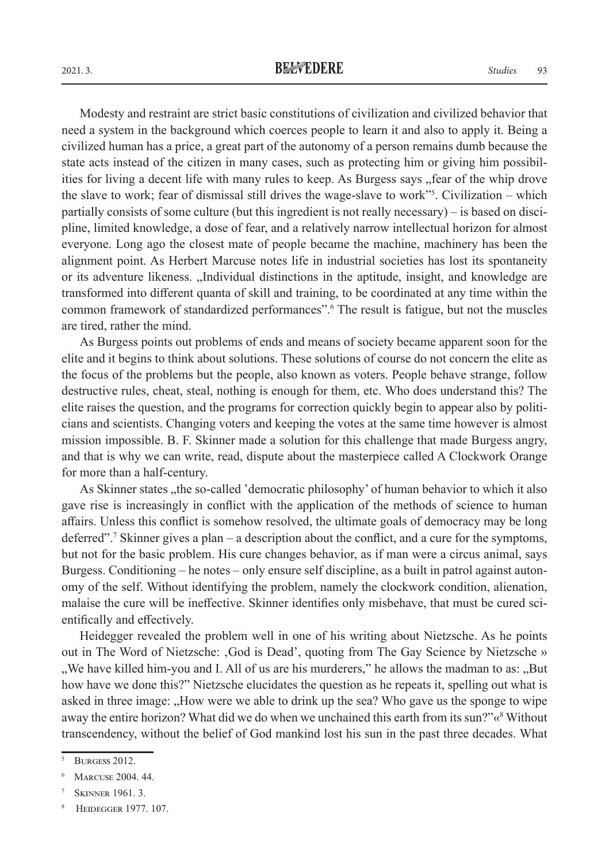Modesty and restraint are strict basic constitutions of civilization and civilized behavior that need a system in the background which coerces people to learn it and also to apply it. Being a civilized human has a price, a great part of the autonomy of a person remains dumb because the state acts instead of the citizen in many cases, such as protecting him or giving him possibilities for living a decent life with many rules to keep. As Burgess says "fear of the whip drove" the slave to work; fear of dismissal still drives the wage-slave to work<sup>155</sup>. Civilization – which partially consists of some culture (but this ingredient is not really necessary) – is based on discipline, limited knowledge, a dose of fear, and a relatively narrow intellectual horizon for almost everyone. Long ago the closest mate of people became the machine, machinery has been the alignment point. As Herbert Marcuse notes life in industrial societies has lost its spontaneity or its adventure likeness. "Individual distinctions in the aptitude, insight, and knowledge are transformed into different quanta of skill and training, to be coordinated at any time within the common framework of standardized performances".6 The result is fatigue, but not the muscles are tired, rather the mind.

As Burgess points out problems of ends and means of society became apparent soon for the elite and it begins to think about solutions. These solutions of course do not concern the elite as the focus of the problems but the people, also known as voters. People behave strange, follow destructive rules, cheat, steal, nothing is enough for them, etc. Who does understand this? The elite raises the question, and the programs for correction quickly begin to appear also by politicians and scientists. Changing voters and keeping the votes at the same time however is almost mission impossible. B. F. Skinner made a solution for this challenge that made Burgess angry, and that is why we can write, read, dispute about the masterpiece called A Clockwork Orange for more than a half-century.

As Skinner states "the so-called 'democratic philosophy' of human behavior to which it also gave rise is increasingly in conflict with the application of the methods of science to human affairs. Unless this conflict is somehow resolved, the ultimate goals of democracy may be long deferred".7 Skinner gives a plan – a description about the conflict, and a cure for the symptoms, but not for the basic problem. His cure changes behavior, as if man were a circus animal, says Burgess. Conditioning – he notes – only ensure self discipline, as a built in patrol against autonomy of the self. Without identifying the problem, namely the clockwork condition, alienation, malaise the cure will be ineffective. Skinner identifies only misbehave, that must be cured scientifically and effectively.

Heidegger revealed the problem well in one of his writing about Nietzsche. As he points out in The Word of Nietzsche: God is Dead', quoting from The Gay Science by Nietzsche » "We have killed him-you and I. All of us are his murderers," he allows the madman to as: "But how have we done this?" Nietzsche elucidates the question as he repeats it, spelling out what is asked in three image: "How were we able to drink up the sea? Who gave us the sponge to wipe away the entire horizon? What did we do when we unchained this earth from its sun?"«<sup>8</sup> Without transcendency, without the belief of God mankind lost his sun in the past three decades. What

BURGESS 2012.

<sup>6</sup> Marcuse 2004. 44.

**SKINNER 1961. 3.** 

**HEIDEGGER 1977. 107.**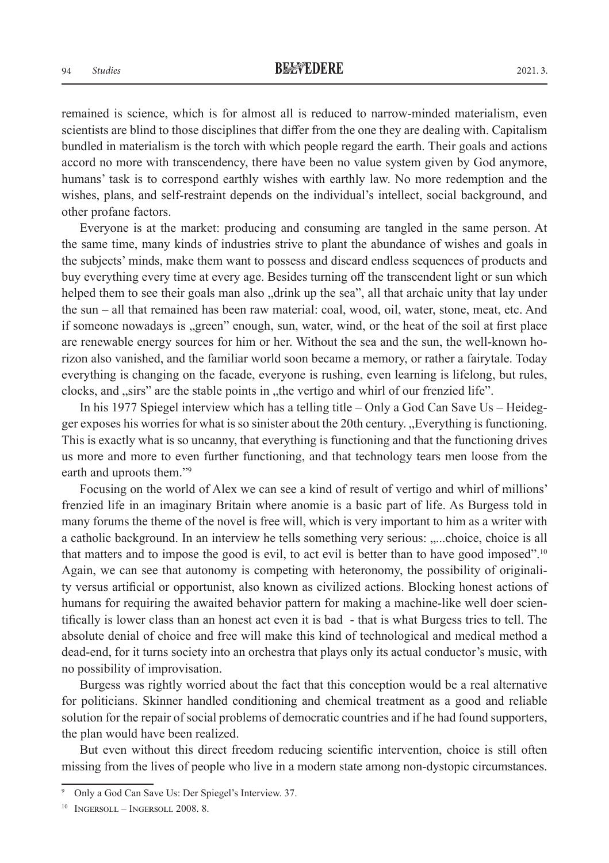remained is science, which is for almost all is reduced to narrow-minded materialism, even scientists are blind to those disciplines that differ from the one they are dealing with. Capitalism bundled in materialism is the torch with which people regard the earth. Their goals and actions accord no more with transcendency, there have been no value system given by God anymore, humans' task is to correspond earthly wishes with earthly law. No more redemption and the wishes, plans, and self-restraint depends on the individual's intellect, social background, and other profane factors.

Everyone is at the market: producing and consuming are tangled in the same person. At the same time, many kinds of industries strive to plant the abundance of wishes and goals in the subjects' minds, make them want to possess and discard endless sequences of products and buy everything every time at every age. Besides turning off the transcendent light or sun which helped them to see their goals man also "drink up the sea", all that archaic unity that lay under the sun – all that remained has been raw material: coal, wood, oil, water, stone, meat, etc. And if someone nowadays is "green" enough, sun, water, wind, or the heat of the soil at first place are renewable energy sources for him or her. Without the sea and the sun, the well-known horizon also vanished, and the familiar world soon became a memory, or rather a fairytale. Today everything is changing on the facade, everyone is rushing, even learning is lifelong, but rules, clocks, and "sirs" are the stable points in "the vertigo and whirl of our frenzied life".

In his 1977 Spiegel interview which has a telling title – Only a God Can Save Us – Heidegger exposes his worries for what is so sinister about the 20th century. "Everything is functioning. This is exactly what is so uncanny, that everything is functioning and that the functioning drives us more and more to even further functioning, and that technology tears men loose from the earth and uproots them."9

Focusing on the world of Alex we can see a kind of result of vertigo and whirl of millions' frenzied life in an imaginary Britain where anomie is a basic part of life. As Burgess told in many forums the theme of the novel is free will, which is very important to him as a writer with a catholic background. In an interview he tells something very serious: ,....choice, choice is all that matters and to impose the good is evil, to act evil is better than to have good imposed".10 Again, we can see that autonomy is competing with heteronomy, the possibility of originality versus artificial or opportunist, also known as civilized actions. Blocking honest actions of humans for requiring the awaited behavior pattern for making a machine-like well doer scientifically is lower class than an honest act even it is bad - that is what Burgess tries to tell. The absolute denial of choice and free will make this kind of technological and medical method a dead-end, for it turns society into an orchestra that plays only its actual conductor's music, with no possibility of improvisation.

Burgess was rightly worried about the fact that this conception would be a real alternative for politicians. Skinner handled conditioning and chemical treatment as a good and reliable solution for the repair of social problems of democratic countries and if he had found supporters, the plan would have been realized.

But even without this direct freedom reducing scientific intervention, choice is still often missing from the lives of people who live in a modern state among non-dystopic circumstances.

<sup>9</sup> Only a God Can Save Us: Der Spiegel's Interview. 37.

 $10$  INGERSOLL – INGERSOLL 2008. 8.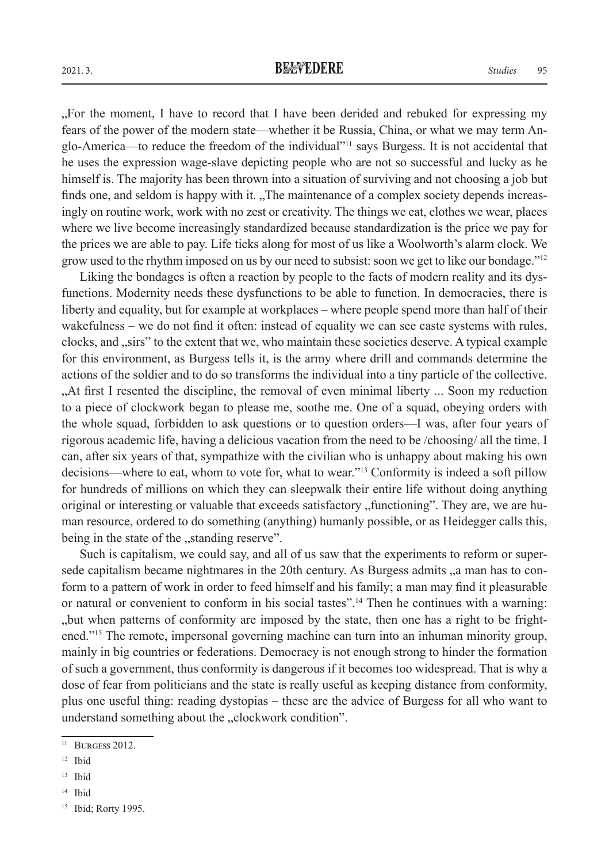"For the moment, I have to record that I have been derided and rebuked for expressing my fears of the power of the modern state—whether it be Russia, China, or what we may term Anglo-America—to reduce the freedom of the individual"11 says Burgess. It is not accidental that he uses the expression wage-slave depicting people who are not so successful and lucky as he himself is. The majority has been thrown into a situation of surviving and not choosing a job but finds one, and seldom is happy with it. "The maintenance of a complex society depends increasingly on routine work, work with no zest or creativity. The things we eat, clothes we wear, places where we live become increasingly standardized because standardization is the price we pay for the prices we are able to pay. Life ticks along for most of us like a Woolworth's alarm clock. We grow used to the rhythm imposed on us by our need to subsist: soon we get to like our bondage."12

Liking the bondages is often a reaction by people to the facts of modern reality and its dysfunctions. Modernity needs these dysfunctions to be able to function. In democracies, there is liberty and equality, but for example at workplaces – where people spend more than half of their wakefulness – we do not find it often: instead of equality we can see caste systems with rules, clocks, and "sirs" to the extent that we, who maintain these societies deserve. A typical example for this environment, as Burgess tells it, is the army where drill and commands determine the actions of the soldier and to do so transforms the individual into a tiny particle of the collective. "At first I resented the discipline, the removal of even minimal liberty ... Soon my reduction to a piece of clockwork began to please me, soothe me. One of a squad, obeying orders with the whole squad, forbidden to ask questions or to question orders—I was, after four years of rigorous academic life, having a delicious vacation from the need to be /choosing/ all the time. I can, after six years of that, sympathize with the civilian who is unhappy about making his own decisions—where to eat, whom to vote for, what to wear."13 Conformity is indeed a soft pillow for hundreds of millions on which they can sleepwalk their entire life without doing anything original or interesting or valuable that exceeds satisfactory , functioning". They are, we are human resource, ordered to do something (anything) humanly possible, or as Heidegger calls this, being in the state of the "standing reserve".

Such is capitalism, we could say, and all of us saw that the experiments to reform or supersede capitalism became nightmares in the 20th century. As Burgess admits , a man has to conform to a pattern of work in order to feed himself and his family; a man may find it pleasurable or natural or convenient to conform in his social tastes".14 Then he continues with a warning: "but when patterns of conformity are imposed by the state, then one has a right to be frightened."15 The remote, impersonal governing machine can turn into an inhuman minority group, mainly in big countries or federations. Democracy is not enough strong to hinder the formation of such a government, thus conformity is dangerous if it becomes too widespread. That is why a dose of fear from politicians and the state is really useful as keeping distance from conformity, plus one useful thing: reading dystopias – these are the advice of Burgess for all who want to understand something about the "clockwork condition".

 $11$  BURGESS 2012.

 $12$  Ibid

<sup>13</sup> Ibid

<sup>14</sup> Ibid

<sup>&</sup>lt;sup>15</sup> Ibid; Rorty 1995.